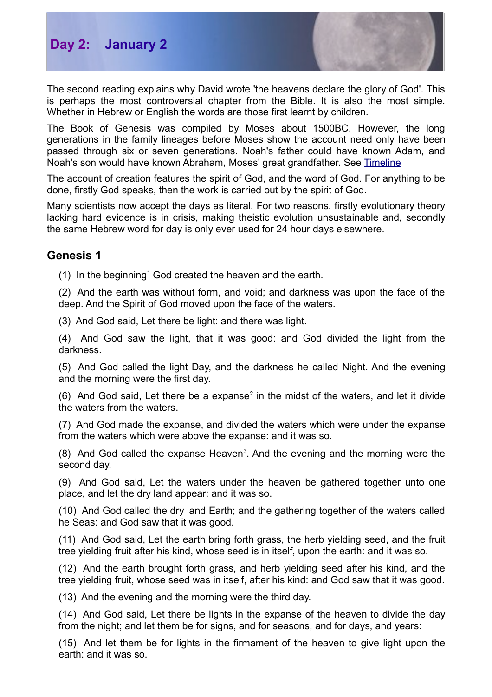



The second reading explains why David wrote 'the heavens declare the glory of God'. This is perhaps the most controversial chapter from the Bible. It is also the most simple. Whether in Hebrew or English the words are those first learnt by children.

The Book of Genesis was compiled by Moses about 1500BC. However, the long generations in the family lineages before Moses show the account need only have been passed through six or seven generations. Noah's father could have known Adam, and Noah's son would have known Abraham, Moses' great grandfather. See [Timeline](http://biblefocus.net/files/Timeline_AdamtoAbraham.pdf)

The account of creation features the spirit of God, and the word of God. For anything to be done, firstly God speaks, then the work is carried out by the spirit of God.

Many scientists now accept the days as literal. For two reasons, firstly evolutionary theory lacking hard evidence is in crisis, making theistic evolution unsustainable and, secondly the same Hebrew word for day is only ever used for 24 hour days elsewhere.

## **Genesis 1**

([1](#page-1-0)) In the beginning<sup>1</sup> God created the heaven and the earth.

(2) And the earth was without form, and void; and darkness was upon the face of the deep. And the Spirit of God moved upon the face of the waters.

(3) And God said, Let there be light: and there was light.

(4) And God saw the light, that it was good: and God divided the light from the darkness.

(5) And God called the light Day, and the darkness he called Night. And the evening and the morning were the first day.

(6) And God said, Let there be a expanse<sup>[2](#page-1-1)</sup> in the midst of the waters, and let it divide the waters from the waters.

(7) And God made the expanse, and divided the waters which were under the expanse from the waters which were above the expanse: and it was so.

 $(8)$  And God called the expanse Heaven<sup>[3](#page-1-2)</sup>. And the evening and the morning were the second day.

(9) And God said, Let the waters under the heaven be gathered together unto one place, and let the dry land appear: and it was so.

(10) And God called the dry land Earth; and the gathering together of the waters called he Seas: and God saw that it was good.

(11) And God said, Let the earth bring forth grass, the herb yielding seed, and the fruit tree yielding fruit after his kind, whose seed is in itself, upon the earth: and it was so.

(12) And the earth brought forth grass, and herb yielding seed after his kind, and the tree yielding fruit, whose seed was in itself, after his kind: and God saw that it was good.

(13) And the evening and the morning were the third day.

(14) And God said, Let there be lights in the expanse of the heaven to divide the day from the night; and let them be for signs, and for seasons, and for days, and years:

(15) And let them be for lights in the firmament of the heaven to give light upon the earth: and it was so.